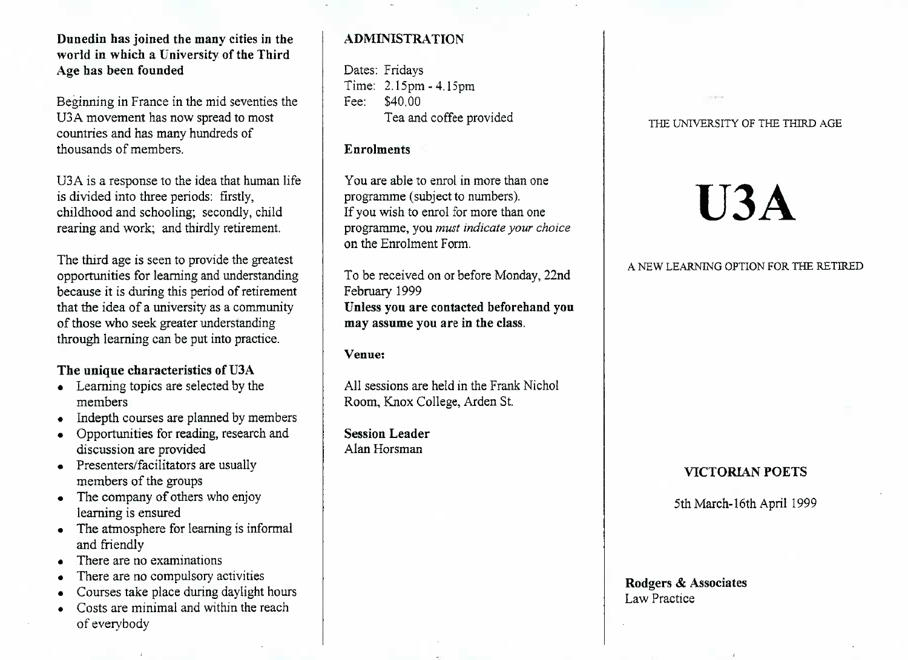## **Dunedin has joined the many cities in the world in which a University of the ThirdAge has been founded**

Beginning in France in the mid seventies theU3A movement has now spread to mostcountries and has many hundreds ofthousands of members.

U3A is a response to the idea that human lifeis divided into three periods: firstly, childhood and schooling; secondly, childrearing and work; and thirdly retirement.

The third age is seen to provide the greatest opportunities for learning and understanding because it is during this period of retirement that the idea of a university as a communityof those who seek greater understandingthrough learning can be put into practice.

# **The unique characteristics of USA**

- Learning topics are selected by themembers
- Indepth courses are planned by members
- Opportunities for reading, research anddiscussion are provided
- Presenters/facilitators are usually members of the groups
- The company of others who enjoy learning is ensured
- The atmosphere for learning is informaland friendly
- There are no examinations
- There are no compulsory activities
- Courses take place during daylight hours
- Costs are minimal and within the reachof evervbodv

# **ADMINISTRATION**

Dates: Fridays Time: 2.15pm - 4.15pmFee: S40.00Tea and coffee provided

## **Enrolments**

You are able to enrol in more than oneprogramme (subject to numbers). If you wish to enrol for more than one programme, you *must indicate your choice*on the Enrolment Form.

To be received on or before Monday, 22ndFebruary 1999 **Unless you are contacted beforehand youmay assume you are in the class.**

# **Venue:**

All sessions are held in the Frank NicholRoom, Knox College, Arden St.

**Session Leader**Alan Horsman

## THE UNIVERSITY OF THE THIRD AGE

# **U3A**

## A NEW LEARNING OPTION FOR THE RETIRED

# **VICTORIAN POETS**

5th March-16th April 1999

## **Rodgers & Associates**Law Practice